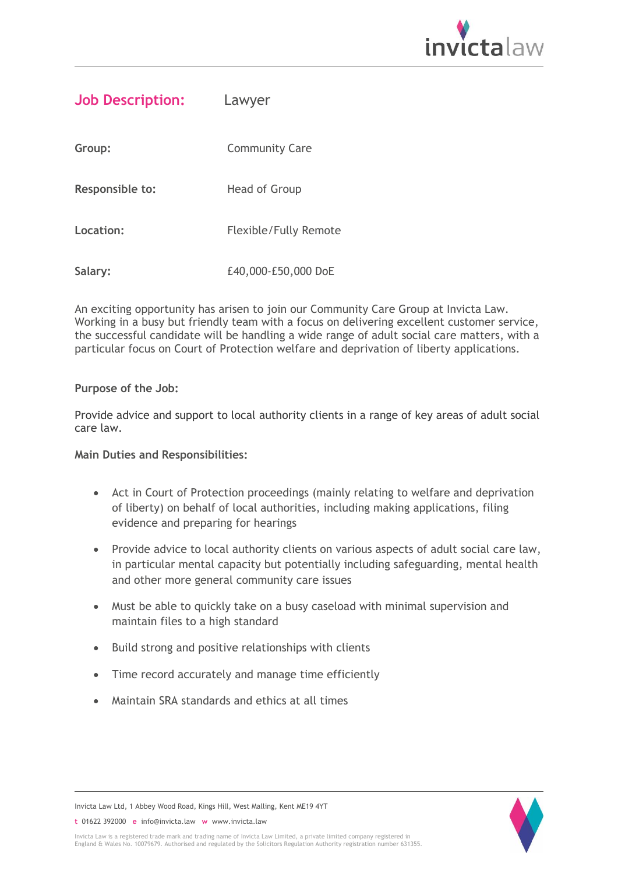

| Lawyer                |
|-----------------------|
| <b>Community Care</b> |
| Head of Group         |
| Flexible/Fully Remote |
|                       |

**Salary:** £40,000-£50,000 DoE

An exciting opportunity has arisen to join our Community Care Group at Invicta Law. Working in a busy but friendly team with a focus on delivering excellent customer service, the successful candidate will be handling a wide range of adult social care matters, with a particular focus on Court of Protection welfare and deprivation of liberty applications.

## **Purpose of the Job:**

Provide advice and support to local authority clients in a range of key areas of adult social care law.

## **Main Duties and Responsibilities:**

- Act in Court of Protection proceedings (mainly relating to welfare and deprivation of liberty) on behalf of local authorities, including making applications, filing evidence and preparing for hearings
- Provide advice to local authority clients on various aspects of adult social care law, in particular mental capacity but potentially including safeguarding, mental health and other more general community care issues
- Must be able to quickly take on a busy caseload with minimal supervision and maintain files to a high standard
- Build strong and positive relationships with clients
- Time record accurately and manage time efficiently
- Maintain SRA standards and ethics at all times



Invicta Law Ltd, 1 Abbey Wood Road, Kings Hill, West Malling, Kent ME19 4YT

**t** 01622 392000 **e** info@invicta.law **w** www.invicta.law